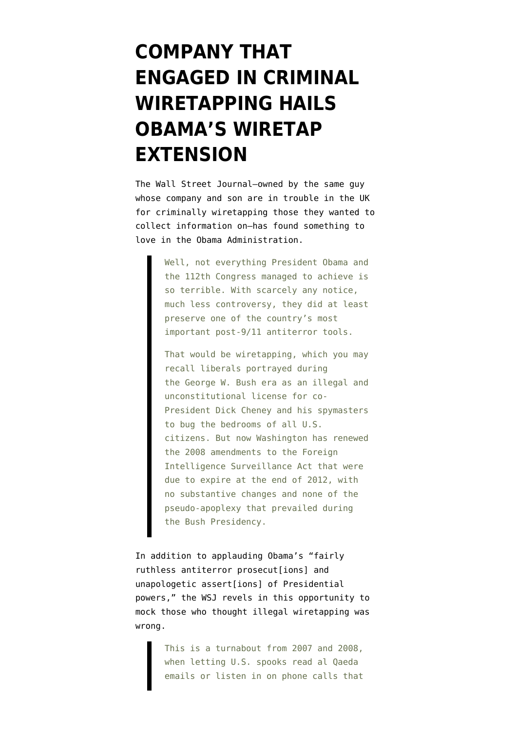## **[COMPANY THAT](https://www.emptywheel.net/2013/01/02/company-that-engaged-in-criminal-wiretapping-hails-obamas-wiretap-extension/) [ENGAGED IN CRIMINAL](https://www.emptywheel.net/2013/01/02/company-that-engaged-in-criminal-wiretapping-hails-obamas-wiretap-extension/) [WIRETAPPING HAILS](https://www.emptywheel.net/2013/01/02/company-that-engaged-in-criminal-wiretapping-hails-obamas-wiretap-extension/) [OBAMA'S WIRETAP](https://www.emptywheel.net/2013/01/02/company-that-engaged-in-criminal-wiretapping-hails-obamas-wiretap-extension/) [EXTENSION](https://www.emptywheel.net/2013/01/02/company-that-engaged-in-criminal-wiretapping-hails-obamas-wiretap-extension/)**

The Wall Street Journal–owned by the same guy whose company and son are in trouble in the UK for criminally wiretapping those they wanted to collect information on–[has found something to](http://online.wsj.com/article_email/SB10001424127887323820104578215661360927982-lMyQjAxMTAzMDAwMjEwNDIyWj.html?mod=wsj_valettop_email) [love](http://online.wsj.com/article_email/SB10001424127887323820104578215661360927982-lMyQjAxMTAzMDAwMjEwNDIyWj.html?mod=wsj_valettop_email) in the Obama Administration.

> Well, not everything President Obama and the 112th Congress managed to achieve is so terrible. With scarcely any notice, much less controversy, they did at least preserve one of the country's most important post-9/11 antiterror tools.

> That would be wiretapping, which you may recall liberals portrayed during the George W. Bush era as an illegal and unconstitutional license for co-President Dick Cheney and his spymasters to bug the bedrooms of all U.S. citizens. But now Washington has renewed the 2008 amendments to the Foreign Intelligence Surveillance Act that were due to expire at the end of 2012, with no substantive changes and none of the pseudo-apoplexy that prevailed during the Bush Presidency.

In addition to applauding Obama's "fairly ruthless antiterror prosecut[ions] and unapologetic assert[ions] of Presidential powers," the WSJ revels in this opportunity to mock those who thought illegal wiretapping was wrong.

> This is a turnabout from 2007 and 2008, when letting U.S. spooks read al Oaeda emails or listen in on phone calls that